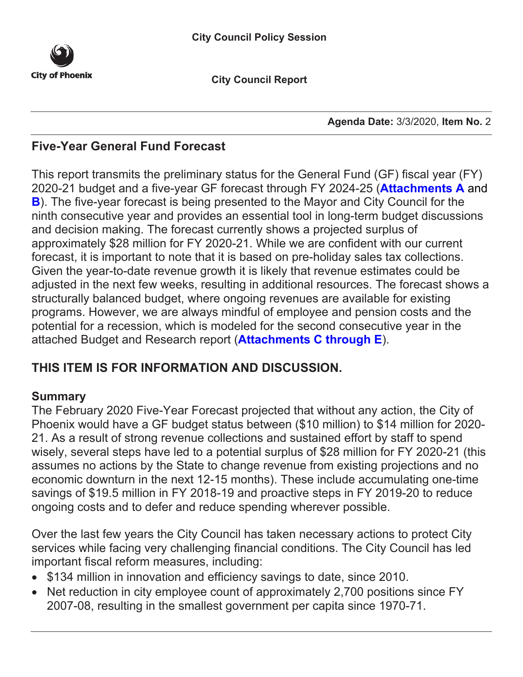

**City Council Report**

**Agenda Date:** 3/3/2020, **Item No.** 2

# **Five-Year General Fund Forecast**

This report transmits the preliminary status for the General Fund (GF) fiscal year (FY) 2020-21 budget and a five-year GF forecast through FY 2024-25 (**[Attachments A](#page-8-0)** and **[B](#page-9-0)**). The five-year forecast is being presented to the Mayor and City Council for the ninth consecutive year and provides an essential tool in long-term budget discussions and decision making. The forecast currently shows a projected surplus of approximately \$28 million for FY 2020-21. While we are confident with our current forecast, it is important to note that it is based on pre-holiday sales tax collections. Given the year-to-date revenue growth it is likely that revenue estimates could be adjusted in the next few weeks, resulting in additional resources. The forecast shows a structurally balanced budget, where ongoing revenues are available for existing programs. However, we are always mindful of employee and pension costs and the potential for a recession, which is modeled for the second consecutive year in the attached Budget and Research report (**[Attachments C through E](#page-13-0)**).

# **THIS ITEM IS FOR INFORMATION AND DISCUSSION.**

# **Summary**

The February 2020 Five-Year Forecast projected that without any action, the City of Phoenix would have a GF budget status between (\$10 million) to \$14 million for 2020- 21. As a result of strong revenue collections and sustained effort by staff to spend wisely, several steps have led to a potential surplus of \$28 million for FY 2020-21 (this assumes no actions by the State to change revenue from existing projections and no economic downturn in the next 12-15 months). These include accumulating one-time savings of \$19.5 million in FY 2018-19 and proactive steps in FY 2019-20 to reduce ongoing costs and to defer and reduce spending wherever possible.

Over the last few years the City Council has taken necessary actions to protect City services while facing very challenging financial conditions. The City Council has led important fiscal reform measures, including:

- \$134 million in innovation and efficiency savings to date, since 2010.
- Net reduction in city employee count of approximately 2,700 positions since FY 2007-08, resulting in the smallest government per capita since 1970-71.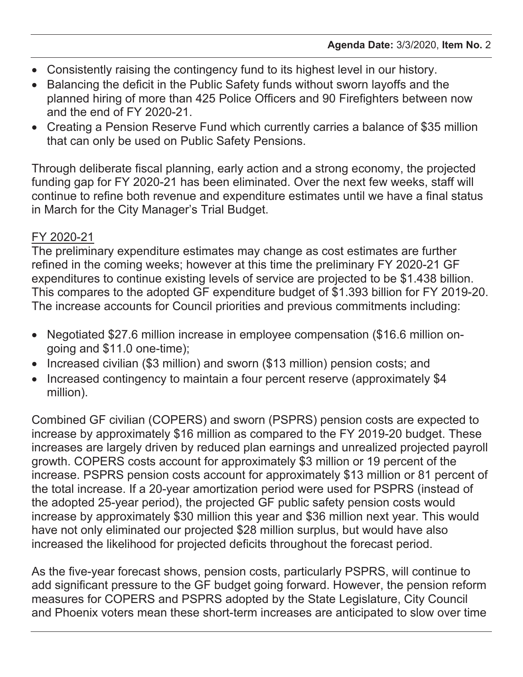- Consistently raising the contingency fund to its highest level in our history.
- Balancing the deficit in the Public Safety funds without sworn layoffs and the planned hiring of more than 425 Police Officers and 90 Firefighters between now and the end of FY 2020-21.
- Creating a Pension Reserve Fund which currently carries a balance of \$35 million that can only be used on Public Safety Pensions.

Through deliberate fiscal planning, early action and a strong economy, the projected funding gap for FY 2020-21 has been eliminated. Over the next few weeks, staff will continue to refine both revenue and expenditure estimates until we have a final status in March for the City Manager's Trial Budget.

# FY 2020-21

The preliminary expenditure estimates may change as cost estimates are further refined in the coming weeks; however at this time the preliminary FY 2020-21 GF expenditures to continue existing levels of service are projected to be \$1.438 billion. This compares to the adopted GF expenditure budget of \$1.393 billion for FY 2019-20. The increase accounts for Council priorities and previous commitments including:

- Negotiated \$27.6 million increase in employee compensation (\$16.6 million ongoing and \$11.0 one-time);
- Increased civilian (\$3 million) and sworn (\$13 million) pension costs; and
- Increased contingency to maintain a four percent reserve (approximately \$4 million).

Combined GF civilian (COPERS) and sworn (PSPRS) pension costs are expected to increase by approximately \$16 million as compared to the FY 2019-20 budget. These increases are largely driven by reduced plan earnings and unrealized projected payroll growth. COPERS costs account for approximately \$3 million or 19 percent of the increase. PSPRS pension costs account for approximately \$13 million or 81 percent of the total increase. If a 20-year amortization period were used for PSPRS (instead of the adopted 25-year period), the projected GF public safety pension costs would increase by approximately \$30 million this year and \$36 million next year. This would have not only eliminated our projected \$28 million surplus, but would have also increased the likelihood for projected deficits throughout the forecast period.

As the five-year forecast shows, pension costs, particularly PSPRS, will continue to add significant pressure to the GF budget going forward. However, the pension reform measures for COPERS and PSPRS adopted by the State Legislature, City Council and Phoenix voters mean these short-term increases are anticipated to slow over time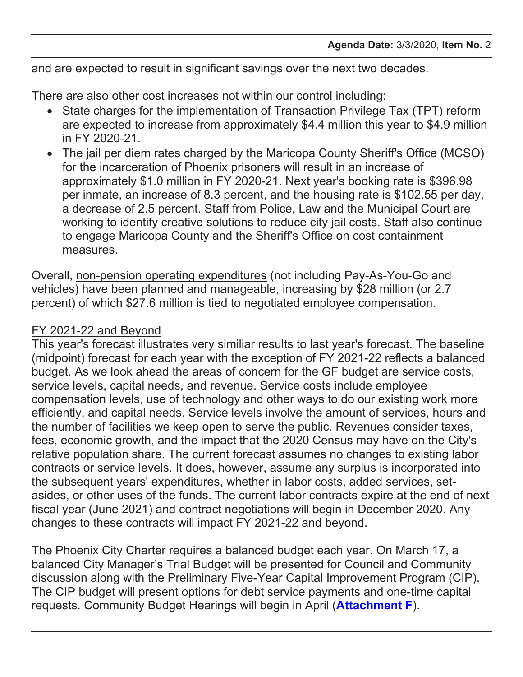and are expected to result in significant savings over the next two decades.

There are also other cost increases not within our control including:

- State charges for the implementation of Transaction Privilege Tax (TPT) reform are expected to increase from approximately \$4.4 million this year to \$4.9 million in FY 2020-21.
- The jail per diem rates charged by the Maricopa County Sheriff's Office (MCSO) for the incarceration of Phoenix prisoners will result in an increase of approximately \$1.0 million in FY 2020-21. Next year's booking rate is \$396.98 per inmate, an increase of 8.3 percent, and the housing rate is \$102.55 per day, a decrease of 2.5 percent. Staff from Police, Law and the Municipal Court are working to identify creative solutions to reduce city jail costs. Staff also continue to engage Maricopa County and the Sheriff's Office on cost containment measures.

Overall, non-pension operating expenditures (not including Pay-As-You-Go and vehicles) have been planned and manageable, increasing by \$28 million (or 2.7 percent) of which \$27.6 million is tied to negotiated employee compensation.

# FY 2021-22 and Beyond

This year's forecast illustrates very similiar results to last year's forecast. The baseline (midpoint) forecast for each year with the exception of FY 2021-22 reflects a balanced budget. As we look ahead the areas of concern for the GF budget are service costs, service levels, capital needs, and revenue. Service costs include employee compensation levels, use of technology and other ways to do our existing work more efficiently, and capital needs. Service levels involve the amount of services, hours and the number of facilities we keep open to serve the public. Revenues consider taxes, fees, economic growth, and the impact that the 2020 Census may have on the City's relative population share. The current forecast assumes no changes to existing labor contracts or service levels. It does, however, assume any surplus is incorporated into the subsequent years' expenditures, whether in labor costs, added services, setasides, or other uses of the funds. The current labor contracts expire at the end of next fiscal year (June 2021) and contract negotiations will begin in December 2020. Any changes to these contracts will impact FY 2021-22 and beyond.

The Phoenix City Charter requires a balanced budget each year. On March 17, a balanced City Manager's Trial Budget will be presented for Council and Community discussion along with the Preliminary Five-Year Capital Improvement Program (CIP). The CIP budget will present options for debt service payments and one-time capital requests. Community Budget Hearings will begin in April (**[Attachment F](#page-16-0)**).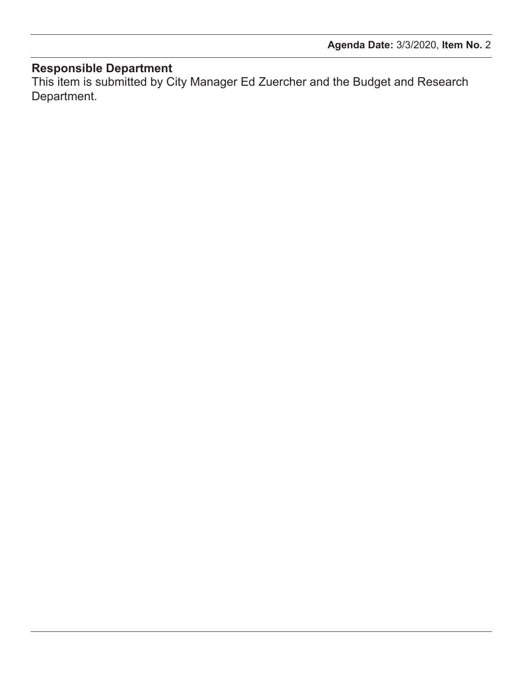### **Responsible Department**

This item is submitted by City Manager Ed Zuercher and the Budget and Research Department.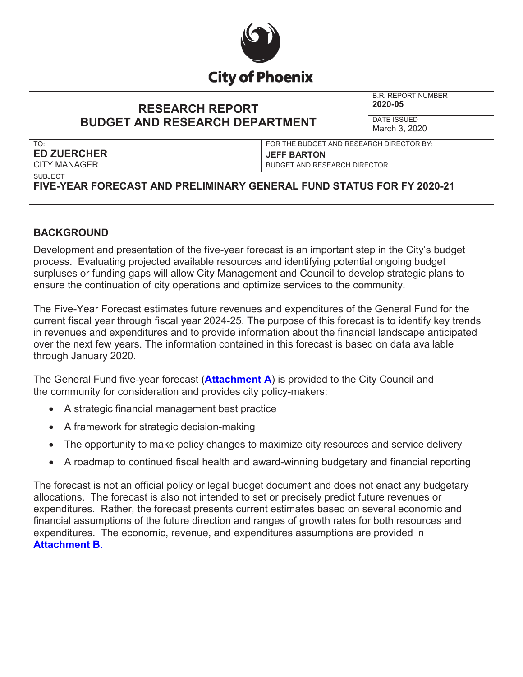

## **RESEARCH REPORT BUDGET AND RESEARCH DEPARTMENT**

B.R. REPORT NUMBER **2020-05**

DATE ISSUED March 3, 2020

### TO: **ED ZUERCHER** CITY MANAGER

FOR THE BUDGET AND RESEARCH DIRECTOR BY: **JEFF BARTON** BUDGET AND RESEARCH DIRECTOR

**SUBJECT** 

# **FIVE-YEAR FORECAST AND PRELIMINARY GENERAL FUND STATUS FOR FY 2020-21**

### **BACKGROUND**

Development and presentation of the five-year forecast is an important step in the City's budget process. Evaluating projected available resources and identifying potential ongoing budget surpluses or funding gaps will allow City Management and Council to develop strategic plans to ensure the continuation of city operations and optimize services to the community.

The Five-Year Forecast estimates future revenues and expenditures of the General Fund for the current fiscal year through fiscal year 2024-25. The purpose of this forecast is to identify key trends in revenues and expenditures and to provide information about the financial landscape anticipated over the next few years. The information contained in this forecast is based on data available through January 2020.

The General Fund five-year forecast (**[Attachment](#page-8-0) A**) is provided to the City Council and the community for consideration and provides city policy-makers:

- A strategic financial management best practice
- A framework for strategic decision-making
- The opportunity to make policy changes to maximize city resources and service delivery
- x A roadmap to continued fiscal health and award-winning budgetary and financial reporting

The forecast is not an official policy or legal budget document and does not enact any budgetary allocations. The forecast is also not intended to set or precisely predict future revenues or expenditures. Rather, the forecast presents current estimates based on several economic and financial assumptions of the future direction and ranges of growth rates for both resources and expenditures. The economic, revenue, and expenditures assumptions are provided in **[Attachment B](#page-9-0)**.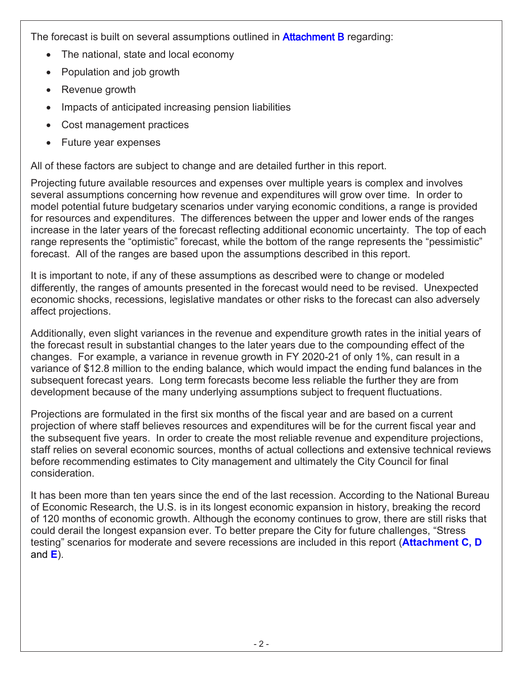The forecast is built on several assumptions outlined in **Attachment B** regarding:

- The national, state and local economy
- Population and job growth
- Revenue growth
- Impacts of anticipated increasing pension liabilities
- Cost management practices
- Future year expenses

All of these factors are subject to change and are detailed further in this report.

Projecting future available resources and expenses over multiple years is complex and involves several assumptions concerning how revenue and expenditures will grow over time. In order to model potential future budgetary scenarios under varying economic conditions, a range is provided for resources and expenditures. The differences between the upper and lower ends of the ranges increase in the later years of the forecast reflecting additional economic uncertainty. The top of each range represents the "optimistic" forecast, while the bottom of the range represents the "pessimistic" forecast. All of the ranges are based upon the assumptions described in this report.

It is important to note, if any of these assumptions as described were to change or modeled differently, the ranges of amounts presented in the forecast would need to be revised. Unexpected economic shocks, recessions, legislative mandates or other risks to the forecast can also adversely affect projections.

Additionally, even slight variances in the revenue and expenditure growth rates in the initial years of the forecast result in substantial changes to the later years due to the compounding effect of the changes. For example, a variance in revenue growth in FY 2020-21 of only 1%, can result in a variance of \$12.8 million to the ending balance, which would impact the ending fund balances in the subsequent forecast years. Long term forecasts become less reliable the further they are from development because of the many underlying assumptions subject to frequent fluctuations.

Projections are formulated in the first six months of the fiscal year and are based on a current projection of where staff believes resources and expenditures will be for the current fiscal year and the subsequent five years. In order to create the most reliable revenue and expenditure projections, staff relies on several economic sources, months of actual collections and extensive technical reviews before recommending estimates to City management and ultimately the City Council for final consideration.

It has been more than ten years since the end of the last recession. According to the National Bureau of Economic Research, the U.S. is in its longest economic expansion in history, breaking the record of 120 months of economic growth. Although the economy continues to grow, there are still risks that could derail the longest expansion ever. To better prepare the City for future challenges, "Stress testing" scenarios for moderate and severe recessions are included in this report (**[Attachment C,](#page-13-0) [D](#page-14-0)**  and **[E](#page-15-0)**).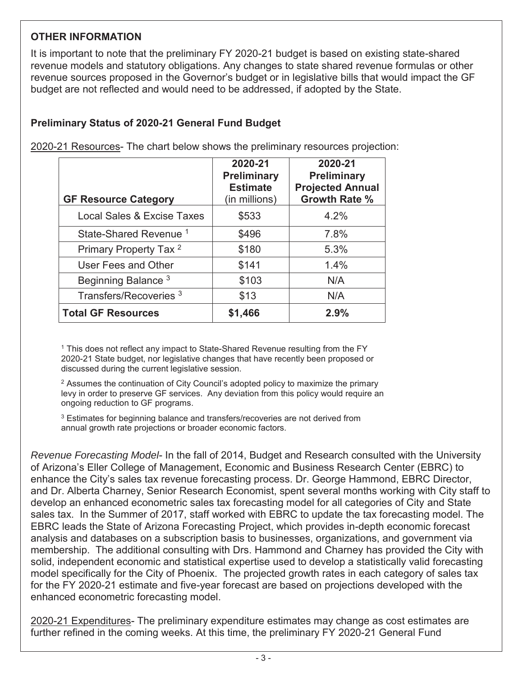### **OTHER INFORMATION**

It is important to note that the preliminary FY 2020-21 budget is based on existing state-shared revenue models and statutory obligations. Any changes to state shared revenue formulas or other revenue sources proposed in the Governor's budget or in legislative bills that would impact the GF budget are not reflected and would need to be addressed, if adopted by the State.

## **Preliminary Status of 2020-21 General Fund Budget**

|                                       | 2020-21<br><b>Preliminary</b><br><b>Estimate</b> | 2020-21<br><b>Preliminary</b><br><b>Projected Annual</b> |
|---------------------------------------|--------------------------------------------------|----------------------------------------------------------|
| <b>GF Resource Category</b>           | (in millions)                                    | <b>Growth Rate %</b>                                     |
| <b>Local Sales &amp; Excise Taxes</b> | \$533                                            | 4.2%                                                     |
| State-Shared Revenue <sup>1</sup>     | \$496                                            | 7.8%                                                     |
| Primary Property Tax <sup>2</sup>     | \$180                                            | 5.3%                                                     |
| User Fees and Other                   | \$141                                            | 1.4%                                                     |
| Beginning Balance <sup>3</sup>        | \$103                                            | N/A                                                      |
| Transfers/Recoveries <sup>3</sup>     | \$13                                             | N/A                                                      |
| <b>Total GF Resources</b>             | \$1,466                                          | 2.9%                                                     |

2020-21 Resources- The chart below shows the preliminary resources projection:

<sup>1</sup> This does not reflect any impact to State-Shared Revenue resulting from the FY 2020-21 State budget, nor legislative changes that have recently been proposed or discussed during the current legislative session.

<sup>2</sup> Assumes the continuation of City Council's adopted policy to maximize the primary levy in order to preserve GF services. Any deviation from this policy would require an ongoing reduction to GF programs.

<sup>3</sup> Estimates for beginning balance and transfers/recoveries are not derived from annual growth rate projections or broader economic factors.

*Revenue Forecasting Model*- In the fall of 2014, Budget and Research consulted with the University of Arizona's Eller College of Management, Economic and Business Research Center (EBRC) to enhance the City's sales tax revenue forecasting process. Dr. George Hammond, EBRC Director, and Dr. Alberta Charney, Senior Research Economist, spent several months working with City staff to develop an enhanced econometric sales tax forecasting model for all categories of City and State sales tax. In the Summer of 2017, staff worked with EBRC to update the tax forecasting model. The EBRC leads the State of Arizona Forecasting Project, which provides in-depth economic forecast analysis and databases on a subscription basis to businesses, organizations, and government via membership. The additional consulting with Drs. Hammond and Charney has provided the City with solid, independent economic and statistical expertise used to develop a statistically valid forecasting model specifically for the City of Phoenix. The projected growth rates in each category of sales tax for the FY 2020-21 estimate and five-year forecast are based on projections developed with the enhanced econometric forecasting model.

2020-21 Expenditures- The preliminary expenditure estimates may change as cost estimates are further refined in the coming weeks. At this time, the preliminary FY 2020-21 General Fund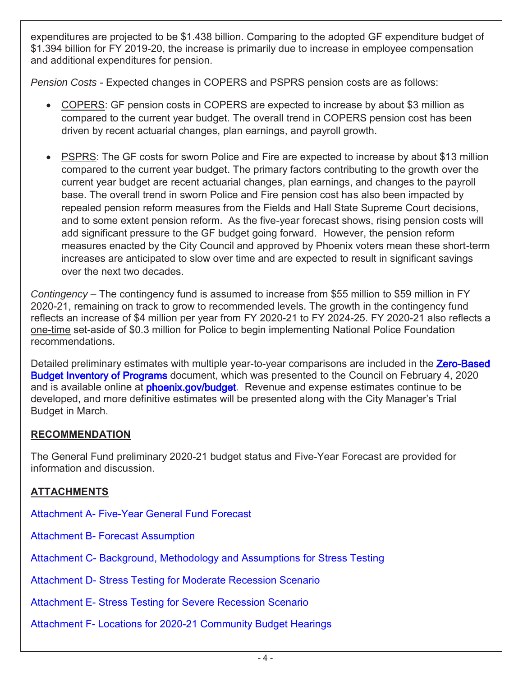expenditures are projected to be \$1.438 billion. Comparing to the adopted GF expenditure budget of \$1.394 billion for FY 2019-20, the increase is primarily due to increase in employee compensation and additional expenditures for pension.

*Pension Costs* - Expected changes in COPERS and PSPRS pension costs are as follows:

- x COPERS: GF pension costs in COPERS are expected to increase by about \$3 million as compared to the current year budget. The overall trend in COPERS pension cost has been driven by recent actuarial changes, plan earnings, and payroll growth.
- PSPRS: The GF costs for sworn Police and Fire are expected to increase by about \$13 million compared to the current year budget. The primary factors contributing to the growth over the current year budget are recent actuarial changes, plan earnings, and changes to the payroll base. The overall trend in sworn Police and Fire pension cost has also been impacted by repealed pension reform measures from the Fields and Hall State Supreme Court decisions, and to some extent pension reform. As the five-year forecast shows, rising pension costs will add significant pressure to the GF budget going forward. However, the pension reform measures enacted by the City Council and approved by Phoenix voters mean these short-term increases are anticipated to slow over time and are expected to result in significant savings over the next two decades.

*Contingency* – The contingency fund is assumed to increase from \$55 million to \$59 million in FY 2020-21, remaining on track to grow to recommended levels. The growth in the contingency fund reflects an increase of \$4 million per year from FY 2020-21 to FY 2024-25. FY 2020-21 also reflects a one-time set-aside of \$0.3 million for Police to begin implementing National Police Foundation recommendations.

Detailed preliminary estimates with multiple year-to-year comparisons are included in the Zero-Based [Budget Inventory of Programs d](https://www.phoenix.gov/budgetsite/budget-books/2019-20CitywideInventoryOfPrograms.pdf)ocument, which was presented to the Council on February 4, 2020 and is available online at **phoenix.gov/budget**. Revenue and expense estimates continue to be developed, and more definitive estimates will be presented along with the City Manager's Trial Budget in March.

### **RECOMMENDATION**

The General Fund preliminary 2020-21 budget status and Five-Year Forecast are provided for information and discussion.

### **ATTACHMENTS**

Attachment A- [Five-Year General Fund](#page-8-0) Forecast

- Attachment B- [Forecast Assumption](#page-9-0)
- Attachment C- [Background, Methodology](#page-13-0) and Assumptions for Stress Testing

Attachment D- Stress Testing [for Moderate Recession Scenario](#page-14-0)

Attachment E- Stress Testing [for Severe Recession Scenario](#page-15-0)

Attachment F- [Locations for 2020-21](#page-16-0) Community Budget Hearings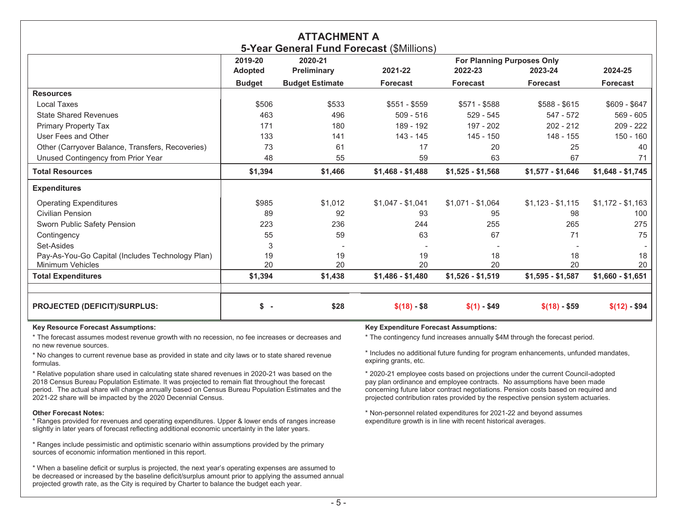<span id="page-8-0"></span>

| <b>ATTACHMENT A</b><br>5-Year General Fund Forecast (\$Millions) |                    |                        |                                   |                   |                   |                   |
|------------------------------------------------------------------|--------------------|------------------------|-----------------------------------|-------------------|-------------------|-------------------|
|                                                                  | 2019-20<br>2020-21 |                        | <b>For Planning Purposes Only</b> |                   |                   |                   |
|                                                                  | <b>Adopted</b>     | Preliminary            | 2021-22                           | 2022-23           | 2023-24           | 2024-25           |
|                                                                  | <b>Budget</b>      | <b>Budget Estimate</b> | <b>Forecast</b>                   | <b>Forecast</b>   | <b>Forecast</b>   | Forecast          |
| <b>Resources</b>                                                 |                    |                        |                                   |                   |                   |                   |
| <b>Local Taxes</b>                                               | \$506              | \$533                  | $$551 - $559$                     | $$571 - $588$     | $$588 - $615$     | $$609 - $647$     |
| <b>State Shared Revenues</b>                                     | 463                | 496                    | $509 - 516$                       | $529 - 545$       | 547 - 572         | $569 - 605$       |
| <b>Primary Property Tax</b>                                      | 171                | 180                    | 189 - 192                         | 197 - 202         | $202 - 212$       | $209 - 222$       |
| User Fees and Other                                              | 133                | 141                    | 143 - 145                         | 145 - 150         | 148 - 155         | $150 - 160$       |
| Other (Carryover Balance, Transfers, Recoveries)                 | 73                 | 61                     | 17                                | 20                | 25                | 40                |
| Unused Contingency from Prior Year                               | 48                 | 55                     | 59                                | 63                | 67                | 71                |
| <b>Total Resources</b>                                           | \$1,394            | \$1,466                | $$1,468 - $1,488$                 | $$1,525 - $1,568$ | $$1,577 - $1,646$ | $$1,648 - $1,745$ |
| <b>Expenditures</b>                                              |                    |                        |                                   |                   |                   |                   |
| <b>Operating Expenditures</b>                                    | \$985              | \$1.012                | $$1,047 - $1,041$                 | $$1,071 - $1,064$ | $$1,123 - $1,115$ | $$1,172 - $1,163$ |
| <b>Civilian Pension</b>                                          | 89                 | 92                     | 93                                | 95                | 98                | 100               |
| Sworn Public Safety Pension                                      | 223                | 236                    | 244                               | 255               | 265               | 275               |
| Contingency                                                      | 55                 | 59                     | 63                                | 67                | 71                | 75                |
| Set-Asides                                                       | 3                  |                        |                                   |                   |                   |                   |
| Pay-As-You-Go Capital (Includes Technology Plan)                 | 19                 | 19                     | 19                                | 18                | 18                | 18                |
| <b>Minimum Vehicles</b>                                          | 20                 | 20                     | 20                                | 20                | 20                | 20                |
| <b>Total Expenditures</b>                                        | \$1,394            | \$1,438                | $$1,486 - $1,480$                 | $$1,526 - $1,519$ | $$1,595 - $1,587$ | $$1,660 - $1,651$ |
| <b>PROJECTED (DEFICIT)/SURPLUS:</b>                              | \$ -               | \$28                   | $$(18) - $8$                      | $$(1) - $49$      | $$(18) - $59$     | $$(12) - $94$     |

\* The forecast assumes modest revenue growth with no recession, no fee increases or decreases and no new revenue sources.

\* No changes to current revenue base as provided in state and city laws or to state shared revenue formulas.

\* Relative population share used in calculating state shared revenues in 2020-21 was based on the 2018 Census Bureau Population Estimate. It was projected to remain flat throughout the forecast period. The actual share will change annually based on Census Bureau Population Estimates and the 2021-22 share will be impacted by the 2020 Decennial Census.

#### **Other Forecast Notes:**

\* Ranges provided for revenues and operating expenditures. Upper & lower ends of ranges increase slightly in later years of forecast reflecting additional economic uncertainty in the later years.

\* Ranges include pessimistic and optimistic scenario within assumptions provided by the primary sources of economic information mentioned in this report.

\* When a baseline deficit or surplus is projected, the next year's operating expenses are assumed to be decreased or increased by the baseline deficit/surplus amount prior to applying the assumed annual projected growth rate, as the City is required by Charter to balance the budget each year.

### **Key Resource Forecast Assumptions: Key Expenditure Forecast Assumptions:**

\* The contingency fund increases annually \$4M through the forecast period.

\* Includes no additional future funding for program enhancements, unfunded mandates, expiring grants, etc.

\* 2020-21 employee costs based on projections under the current Council-adopted pay plan ordinance and employee contracts. No assumptions have been made concerning future labor contract negotiations. Pension costs based on required and projected contribution rates provided by the respective pension system actuaries.

\* Non-personnel related expenditures for 2021-22 and beyond assumes expenditure growth is in line with recent historical averages.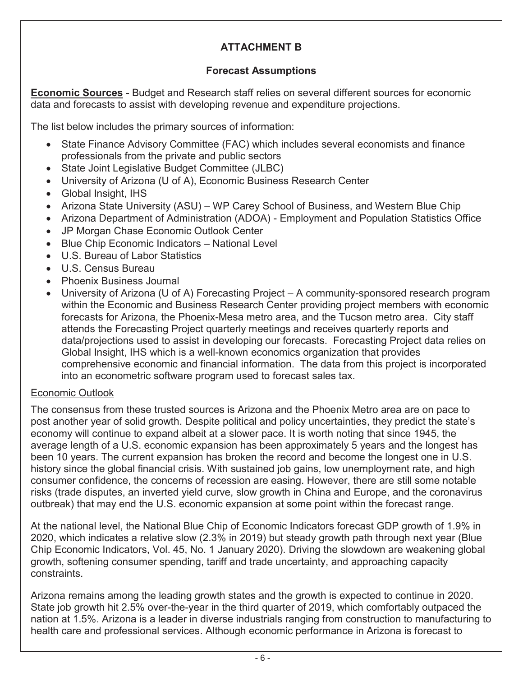# **ATTACHMENT B**

### **Forecast Assumptions**

<span id="page-9-0"></span>**Economic Sources** - Budget and Research staff relies on several different sources for economic data and forecasts to assist with developing revenue and expenditure projections.

The list below includes the primary sources of information:

- State Finance Advisory Committee (FAC) which includes several economists and finance professionals from the private and public sectors
- State Joint Legislative Budget Committee (JLBC)
- University of Arizona (U of A), Economic Business Research Center
- Global Insight, IHS
- Arizona State University (ASU) WP Carey School of Business, and Western Blue Chip
- Arizona Department of Administration (ADOA) Employment and Population Statistics Office
- JP Morgan Chase Economic Outlook Center
- Blue Chip Economic Indicators National Level
- U.S. Bureau of Labor Statistics
- U.S. Census Bureau
- Phoenix Business Journal
- University of Arizona (U of A) Forecasting Project  $-$  A community-sponsored research program within the Economic and Business Research Center providing project members with economic forecasts for Arizona, the Phoenix-Mesa metro area, and the Tucson metro area. City staff attends the Forecasting Project quarterly meetings and receives quarterly reports and data/projections used to assist in developing our forecasts. Forecasting Project data relies on Global Insight, IHS which is a well-known economics organization that provides comprehensive economic and financial information. The data from this project is incorporated into an econometric software program used to forecast sales tax.

### Economic Outlook

The consensus from these trusted sources is Arizona and the Phoenix Metro area are on pace to post another year of solid growth. Despite political and policy uncertainties, they predict the state's economy will continue to expand albeit at a slower pace. It is worth noting that since 1945, the average length of a U.S. economic expansion has been approximately 5 years and the longest has been 10 years. The current expansion has broken the record and become the longest one in U.S. history since the global financial crisis. With sustained job gains, low unemployment rate, and high consumer confidence, the concerns of recession are easing. However, there are still some notable risks (trade disputes, an inverted yield curve, slow growth in China and Europe, and the coronavirus outbreak) that may end the U.S. economic expansion at some point within the forecast range.

At the national level, the National Blue Chip of Economic Indicators forecast GDP growth of 1.9% in 2020, which indicates a relative slow (2.3% in 2019) but steady growth path through next year (Blue Chip Economic Indicators, Vol. 45, No. 1 January 2020). Driving the slowdown are weakening global growth, softening consumer spending, tariff and trade uncertainty, and approaching capacity constraints.

Arizona remains among the leading growth states and the growth is expected to continue in 2020. State job growth hit 2.5% over-the-year in the third quarter of 2019, which comfortably outpaced the nation at 1.5%. Arizona is a leader in diverse industrials ranging from construction to manufacturing to health care and professional services. Although economic performance in Arizona is forecast to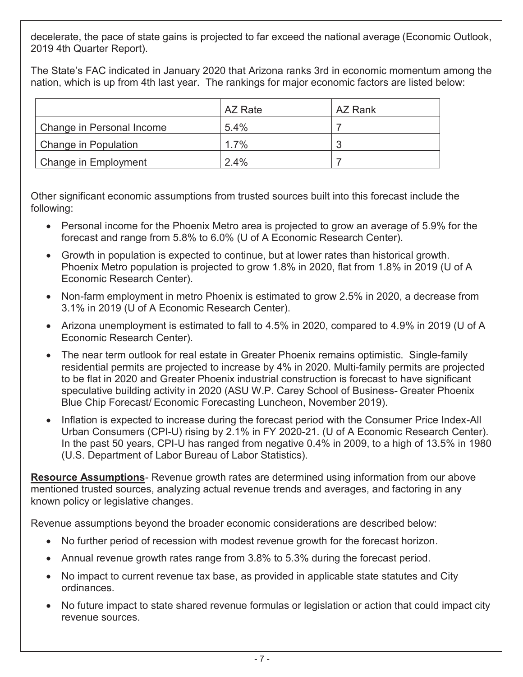decelerate, the pace of state gains is projected to far exceed the national average (Economic Outlook, 2019 4th Quarter Report).

The State's FAC indicated in January 2020 that Arizona ranks 3rd in economic momentum among the nation, which is up from 4th last year. The rankings for major economic factors are listed below:

|                           | AZ Rate | AZ Rank |
|---------------------------|---------|---------|
| Change in Personal Income | 5.4%    |         |
| Change in Population      | 1.7%    | 2       |
| Change in Employment      | $2.4\%$ |         |

Other significant economic assumptions from trusted sources built into this forecast include the following:

- Personal income for the Phoenix Metro area is projected to grow an average of 5.9% for the forecast and range from 5.8% to 6.0% (U of A Economic Research Center).
- Growth in population is expected to continue, but at lower rates than historical growth. Phoenix Metro population is projected to grow 1.8% in 2020, flat from 1.8% in 2019 (U of A Economic Research Center).
- Non-farm employment in metro Phoenix is estimated to grow 2.5% in 2020, a decrease from 3.1% in 2019 (U of A Economic Research Center).
- Arizona unemployment is estimated to fall to 4.5% in 2020, compared to 4.9% in 2019 (U of A Economic Research Center).
- The near term outlook for real estate in Greater Phoenix remains optimistic. Single-family residential permits are projected to increase by 4% in 2020. Multi-family permits are projected to be flat in 2020 and Greater Phoenix industrial construction is forecast to have significant speculative building activity in 2020 (ASU W.P. Carey School of Business- Greater Phoenix Blue Chip Forecast/ Economic Forecasting Luncheon, November 2019).
- Inflation is expected to increase during the forecast period with the Consumer Price Index-All Urban Consumers (CPI-U) rising by 2.1% in FY 2020-21. (U of A Economic Research Center). In the past 50 years, CPI-U has ranged from negative 0.4% in 2009, to a high of 13.5% in 1980 (U.S. Department of Labor Bureau of Labor Statistics).

**Resource Assumptions**- Revenue growth rates are determined using information from our above mentioned trusted sources, analyzing actual revenue trends and averages, and factoring in any known policy or legislative changes.

Revenue assumptions beyond the broader economic considerations are described below:

- No further period of recession with modest revenue growth for the forecast horizon.
- Annual revenue growth rates range from 3.8% to 5.3% during the forecast period.
- No impact to current revenue tax base, as provided in applicable state statutes and City ordinances.
- No future impact to state shared revenue formulas or legislation or action that could impact city revenue sources.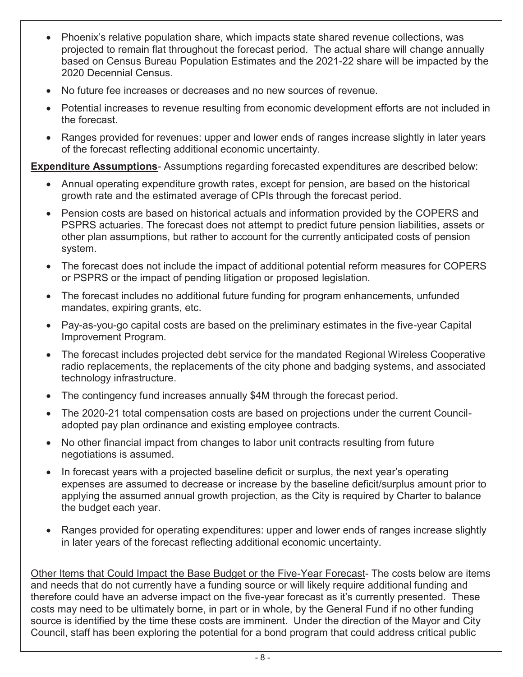- Phoenix's relative population share, which impacts state shared revenue collections, was projected to remain flat throughout the forecast period. The actual share will change annually based on Census Bureau Population Estimates and the 2021-22 share will be impacted by the 2020 Decennial Census.
- No future fee increases or decreases and no new sources of revenue.
- Potential increases to revenue resulting from economic development efforts are not included in the forecast.
- Ranges provided for revenues: upper and lower ends of ranges increase slightly in later years of the forecast reflecting additional economic uncertainty.

**Expenditure Assumptions**- Assumptions regarding forecasted expenditures are described below:

- Annual operating expenditure growth rates, except for pension, are based on the historical growth rate and the estimated average of CPIs through the forecast period.
- Pension costs are based on historical actuals and information provided by the COPERS and PSPRS actuaries. The forecast does not attempt to predict future pension liabilities, assets or other plan assumptions, but rather to account for the currently anticipated costs of pension system.
- The forecast does not include the impact of additional potential reform measures for COPERS or PSPRS or the impact of pending litigation or proposed legislation.
- The forecast includes no additional future funding for program enhancements, unfunded mandates, expiring grants, etc.
- Pay-as-you-go capital costs are based on the preliminary estimates in the five-year Capital Improvement Program.
- x The forecast includes projected debt service for the mandated Regional Wireless Cooperative radio replacements, the replacements of the city phone and badging systems, and associated technology infrastructure.
- The contingency fund increases annually \$4M through the forecast period.
- The 2020-21 total compensation costs are based on projections under the current Counciladopted pay plan ordinance and existing employee contracts.
- No other financial impact from changes to labor unit contracts resulting from future negotiations is assumed.
- In forecast years with a projected baseline deficit or surplus, the next year's operating expenses are assumed to decrease or increase by the baseline deficit/surplus amount prior to applying the assumed annual growth projection, as the City is required by Charter to balance the budget each year.
- Ranges provided for operating expenditures: upper and lower ends of ranges increase slightly in later years of the forecast reflecting additional economic uncertainty.

Other Items that Could Impact the Base Budget or the Five-Year Forecast- The costs below are items and needs that do not currently have a funding source or will likely require additional funding and therefore could have an adverse impact on the five-year forecast as it's currently presented. These costs may need to be ultimately borne, in part or in whole, by the General Fund if no other funding source is identified by the time these costs are imminent. Under the direction of the Mayor and City Council, staff has been exploring the potential for a bond program that could address critical public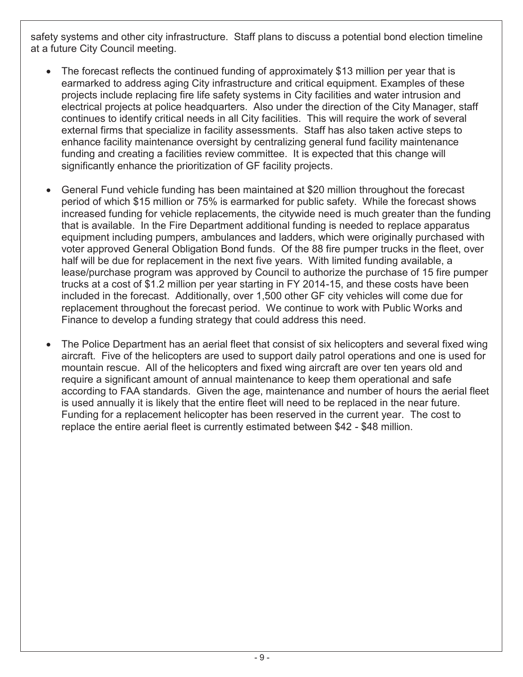safety systems and other city infrastructure. Staff plans to discuss a potential bond election timeline at a future City Council meeting.

- The forecast reflects the continued funding of approximately \$13 million per year that is earmarked to address aging City infrastructure and critical equipment. Examples of these projects include replacing fire life safety systems in City facilities and water intrusion and electrical projects at police headquarters. Also under the direction of the City Manager, staff continues to identify critical needs in all City facilities. This will require the work of several external firms that specialize in facility assessments. Staff has also taken active steps to enhance facility maintenance oversight by centralizing general fund facility maintenance funding and creating a facilities review committee. It is expected that this change will significantly enhance the prioritization of GF facility projects.
- x General Fund vehicle funding has been maintained at \$20 million throughout the forecast period of which \$15 million or 75% is earmarked for public safety. While the forecast shows increased funding for vehicle replacements, the citywide need is much greater than the funding that is available. In the Fire Department additional funding is needed to replace apparatus equipment including pumpers, ambulances and ladders, which were originally purchased with voter approved General Obligation Bond funds. Of the 88 fire pumper trucks in the fleet, over half will be due for replacement in the next five years. With limited funding available, a lease/purchase program was approved by Council to authorize the purchase of 15 fire pumper trucks at a cost of \$1.2 million per year starting in FY 2014-15, and these costs have been included in the forecast. Additionally, over 1,500 other GF city vehicles will come due for replacement throughout the forecast period. We continue to work with Public Works and Finance to develop a funding strategy that could address this need.
- The Police Department has an aerial fleet that consist of six helicopters and several fixed wing aircraft. Five of the helicopters are used to support daily patrol operations and one is used for mountain rescue. All of the helicopters and fixed wing aircraft are over ten years old and require a significant amount of annual maintenance to keep them operational and safe according to FAA standards. Given the age, maintenance and number of hours the aerial fleet is used annually it is likely that the entire fleet will need to be replaced in the near future. Funding for a replacement helicopter has been reserved in the current year. The cost to replace the entire aerial fleet is currently estimated between \$42 - \$48 million.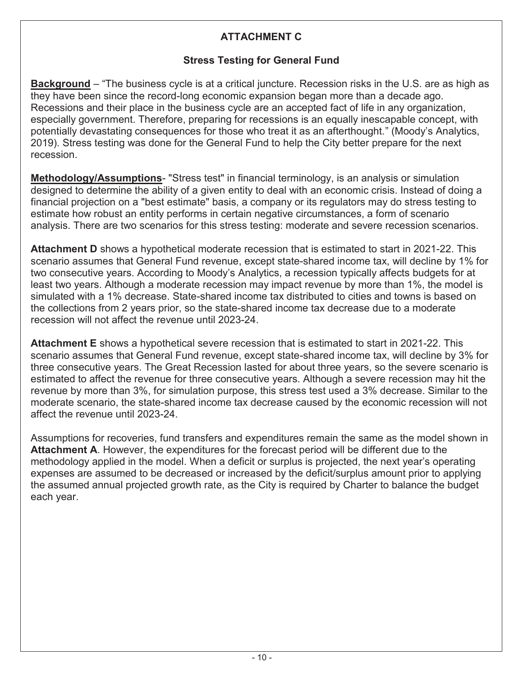# **ATTACHMENT C**

### **Stress Testing for General Fund**

<span id="page-13-0"></span>**Background** – "The business cycle is at a critical juncture. Recession risks in the U.S. are as high as they have been since the record-long economic expansion began more than a decade ago. Recessions and their place in the business cycle are an accepted fact of life in any organization, especially government. Therefore, preparing for recessions is an equally inescapable concept, with potentially devastating consequences for those who treat it as an afterthought." (Moody's Analytics, 2019). Stress testing was done for the General Fund to help the City better prepare for the next recession.

**Methodology/Assumptions**- "Stress test" in financial terminology, is an analysis or simulation designed to determine the ability of a given entity to deal with an economic crisis. Instead of doing a financial projection on a "best estimate" basis, a company or its regulators may do stress testing to estimate how robust an entity performs in certain negative circumstances, a form of scenario analysis. There are two scenarios for this stress testing: moderate and severe recession scenarios.

**Attachment D** shows a hypothetical moderate recession that is estimated to start in 2021-22. This scenario assumes that General Fund revenue, except state-shared income tax, will decline by 1% for two consecutive years. According to Moody's Analytics, a recession typically affects budgets for at least two years. Although a moderate recession may impact revenue by more than 1%, the model is simulated with a 1% decrease. State-shared income tax distributed to cities and towns is based on the collections from 2 years prior, so the state-shared income tax decrease due to a moderate recession will not affect the revenue until 2023-24.

**Attachment E** shows a hypothetical severe recession that is estimated to start in 2021-22. This scenario assumes that General Fund revenue, except state-shared income tax, will decline by 3% for three consecutive years. The Great Recession lasted for about three years, so the severe scenario is estimated to affect the revenue for three consecutive years. Although a severe recession may hit the revenue by more than 3%, for simulation purpose, this stress test used a 3% decrease. Similar to the moderate scenario, the state-shared income tax decrease caused by the economic recession will not affect the revenue until 2023-24.

Assumptions for recoveries, fund transfers and expenditures remain the same as the model shown in **Attachment A**. However, the expenditures for the forecast period will be different due to the methodology applied in the model. When a deficit or surplus is projected, the next year's operating expenses are assumed to be decreased or increased by the deficit/surplus amount prior to applying the assumed annual projected growth rate, as the City is required by Charter to balance the budget each year.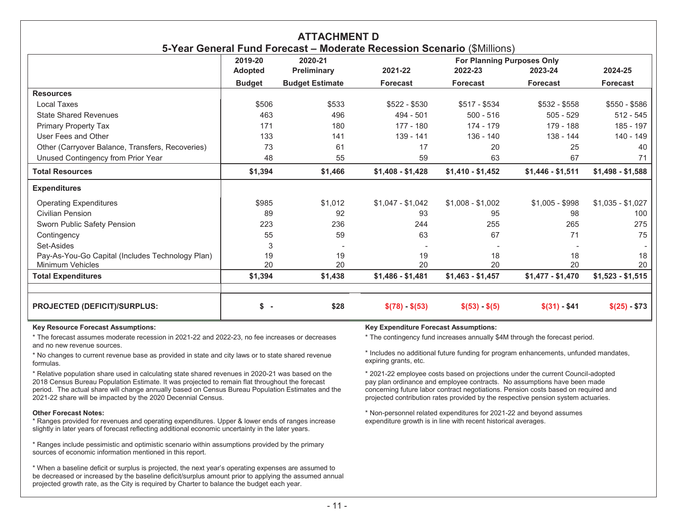<span id="page-14-0"></span>

| <b>ATTACHMENT D</b><br>5-Year General Fund Forecast - Moderate Recession Scenario (\$Millions) |                |                        |                   |                                   |                   |                   |
|------------------------------------------------------------------------------------------------|----------------|------------------------|-------------------|-----------------------------------|-------------------|-------------------|
|                                                                                                | 2019-20        | 2020-21                |                   | <b>For Planning Purposes Only</b> |                   |                   |
|                                                                                                | <b>Adopted</b> | Preliminary            | 2021-22           | 2022-23                           | 2023-24           | 2024-25           |
|                                                                                                | <b>Budget</b>  | <b>Budget Estimate</b> | <b>Forecast</b>   | <b>Forecast</b>                   | <b>Forecast</b>   | <b>Forecast</b>   |
| <b>Resources</b>                                                                               |                |                        |                   |                                   |                   |                   |
| Local Taxes                                                                                    | \$506          | \$533                  | $$522 - $530$     | $$517 - $534$                     | $$532 - $558$     | $$550 - $586$     |
| <b>State Shared Revenues</b>                                                                   | 463            | 496                    | $494 - 501$       | $500 - 516$                       | $505 - 529$       | $512 - 545$       |
| <b>Primary Property Tax</b>                                                                    | 171            | 180                    | $177 - 180$       | 174 - 179                         | 179 - 188         | 185 - 197         |
| User Fees and Other                                                                            | 133            | 141                    | 139 - 141         | 136 - 140                         | 138 - 144         | 140 - 149         |
| Other (Carryover Balance, Transfers, Recoveries)                                               | 73             | 61                     | 17                | 20                                | 25                | 40                |
| Unused Contingency from Prior Year                                                             | 48             | 55                     | 59                | 63                                | 67                | 71                |
| <b>Total Resources</b>                                                                         | \$1,394        | \$1,466                | $$1,408 - $1,428$ | $$1,410 - $1,452$                 | $$1,446 - $1,511$ | $$1,498 - $1,588$ |
| <b>Expenditures</b>                                                                            |                |                        |                   |                                   |                   |                   |
| <b>Operating Expenditures</b>                                                                  | \$985          | \$1.012                | $$1,047 - $1,042$ | $$1,008 - $1,002$                 | $$1,005 - $998$   | $$1,035 - $1,027$ |
| <b>Civilian Pension</b>                                                                        | 89             | 92                     | 93                | 95                                | 98                | 100               |
| Sworn Public Safety Pension                                                                    | 223            | 236                    | 244               | 255                               | 265               | 275               |
| Contingency                                                                                    | 55             | 59                     | 63                | 67                                | 71                | 75                |
| Set-Asides                                                                                     | 3              |                        |                   |                                   |                   |                   |
| Pay-As-You-Go Capital (Includes Technology Plan)                                               | 19             | 19                     | 19                | 18                                | 18                | 18                |
| Minimum Vehicles                                                                               | 20             | 20                     | 20                | 20                                | 20                | 20                |
| <b>Total Expenditures</b>                                                                      | \$1,394        | \$1,438                | $$1,486 - $1,481$ | $$1,463 - $1,457$                 | $$1,477 - $1,470$ | $$1,523 - $1,515$ |
| <b>PROJECTED (DEFICIT)/SURPLUS:</b>                                                            | $s -$          | \$28                   | $$(78) - $(53)$   | $$(53) - $(5)$                    | $$(31) - $41$     | $$(25) - $73$     |

\* The forecast assumes moderate recession in 2021-22 and 2022-23, no fee increases or decreases and no new revenue sources.

\* No changes to current revenue base as provided in state and city laws or to state shared revenue formulas.

\* Relative population share used in calculating state shared revenues in 2020-21 was based on the 2018 Census Bureau Population Estimate. It was projected to remain flat throughout the forecast period. The actual share will change annually based on Census Bureau Population Estimates and the 2021-22 share will be impacted by the 2020 Decennial Census.

#### **Other Forecast Notes:**

\* Ranges provided for revenues and operating expenditures. Upper & lower ends of ranges increase slightly in later years of forecast reflecting additional economic uncertainty in the later years.

\* Ranges include pessimistic and optimistic scenario within assumptions provided by the primary sources of economic information mentioned in this report.

\* When a baseline deficit or surplus is projected, the next year's operating expenses are assumed to be decreased or increased by the baseline deficit/surplus amount prior to applying the assumed annual projected growth rate, as the City is required by Charter to balance the budget each year.

### **Key Resource Forecast Assumptions: Key Expenditure Forecast Assumptions:**

\* The contingency fund increases annually \$4M through the forecast period.

\* Includes no additional future funding for program enhancements, unfunded mandates, expiring grants, etc.

\* 2021-22 employee costs based on projections under the current Council-adopted pay plan ordinance and employee contracts. No assumptions have been made concerning future labor contract negotiations. Pension costs based on required and projected contribution rates provided by the respective pension system actuaries.

\* Non-personnel related expenditures for 2021-22 and beyond assumes expenditure growth is in line with recent historical averages.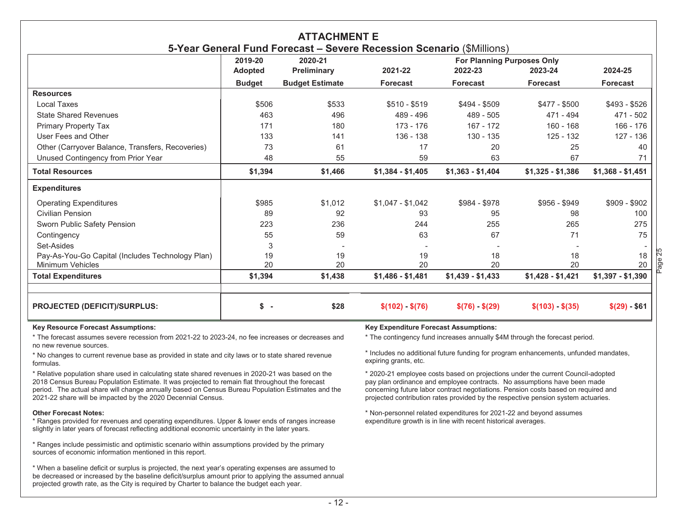<span id="page-15-0"></span>

| <b>ATTACHMENT E</b><br>5-Year General Fund Forecast - Severe Recession Scenario (\$Millions) |                                |                        |                   |                                   |                   |                   |
|----------------------------------------------------------------------------------------------|--------------------------------|------------------------|-------------------|-----------------------------------|-------------------|-------------------|
|                                                                                              | 2019-20<br>2020-21             |                        |                   | <b>For Planning Purposes Only</b> |                   |                   |
|                                                                                              | <b>Adopted</b>                 | Preliminary            | 2021-22           | 2022-23                           | 2023-24           | 2024-25           |
|                                                                                              | <b>Budget</b>                  | <b>Budget Estimate</b> | <b>Forecast</b>   | <b>Forecast</b>                   | <b>Forecast</b>   | <b>Forecast</b>   |
| <b>Resources</b>                                                                             |                                |                        |                   |                                   |                   |                   |
| Local Taxes                                                                                  | \$506                          | \$533                  | $$510 - $519$     | $$494 - $509$                     | $$477 - $500$     | $$493 - $526$     |
| <b>State Shared Revenues</b>                                                                 | 463                            | 496                    | 489 - 496         | $489 - 505$                       | 471 - 494         | 471 - 502         |
| Primary Property Tax                                                                         | 171                            | 180                    | 173 - 176         | $167 - 172$                       | $160 - 168$       | $166 - 176$       |
| User Fees and Other                                                                          | 133                            | 141                    | $136 - 138$       | 130 - 135                         | $125 - 132$       | 127 - 136         |
| Other (Carryover Balance, Transfers, Recoveries)                                             | 73                             | 61                     | 17                | 20                                | 25                | 40                |
| Unused Contingency from Prior Year                                                           | 48                             | 55                     | 59                | 63                                | 67                | 71                |
| <b>Total Resources</b>                                                                       | \$1,394                        | \$1,466                | $$1,384 - $1,405$ | $$1,363 - $1,404$                 | $$1,325 - $1,386$ | $$1,368 - $1,451$ |
| <b>Expenditures</b>                                                                          |                                |                        |                   |                                   |                   |                   |
| <b>Operating Expenditures</b>                                                                | \$985                          | \$1,012                | $$1,047 - $1,042$ | \$984 - \$978                     | $$956 - $949$     | $$909 - $902$     |
| <b>Civilian Pension</b>                                                                      | 89                             | 92                     | 93                | 95                                | 98                | 100               |
| Sworn Public Safety Pension                                                                  | 223                            | 236                    | 244               | 255                               | 265               | 275               |
| Contingency                                                                                  | 55                             | 59                     | 63                | 67                                | 71                | 75                |
| Set-Asides                                                                                   | 3                              |                        |                   |                                   |                   |                   |
| Pay-As-You-Go Capital (Includes Technology Plan)                                             | 19                             | 19                     | 19                | 18                                | 18                | 18                |
| Minimum Vehicles                                                                             | 20                             | 20                     | 20                | 20                                | 20                | 20                |
| <b>Total Expenditures</b>                                                                    | \$1,394                        | \$1,438                | $$1,486 - $1,481$ | $$1,439 - $1,433$                 | $$1,428 - $1,421$ | $$1,397 - $1,390$ |
| <b>PROJECTED (DEFICIT)/SURPLUS:</b>                                                          | \$<br>$\overline{\phantom{a}}$ | \$28                   | $$(102) - $(76)$  | $$(76) - $(29)$                   | $$(103) - $(35)$  | $$(29) - $61$     |

\* The forecast assumes severe recession from 2021-22 to 2023-24, no fee increases or decreases and no new revenue sources.

\* No changes to current revenue base as provided in state and city laws or to state shared revenue formulas.

\* Relative population share used in calculating state shared revenues in 2020-21 was based on the 2018 Census Bureau Population Estimate. It was projected to remain flat throughout the forecast period. The actual share will change annually based on Census Bureau Population Estimates and the 2021-22 share will be impacted by the 2020 Decennial Census.

#### **Other Forecast Notes:**

\* Ranges provided for revenues and operating expenditures. Upper & lower ends of ranges increase slightly in later years of forecast reflecting additional economic uncertainty in the later years.

\* Ranges include pessimistic and optimistic scenario within assumptions provided by the primary sources of economic information mentioned in this report.

\* When a baseline deficit or surplus is projected, the next year's operating expenses are assumed to be decreased or increased by the baseline deficit/surplus amount prior to applying the assumed annual projected growth rate, as the City is required by Charter to balance the budget each year.

#### **Key Resource Forecast Assumptions: Key Expenditure Forecast Assumptions:**

\* The contingency fund increases annually \$4M through the forecast period.

\* Includes no additional future funding for program enhancements, unfunded mandates, expiring grants, etc.

Page 25

\* 2020-21 employee costs based on projections under the current Council-adopted pay plan ordinance and employee contracts. No assumptions have been made concerning future labor contract negotiations. Pension costs based on required and projected contribution rates provided by the respective pension system actuaries.

\* Non-personnel related expenditures for 2021-22 and beyond assumes expenditure growth is in line with recent historical averages.